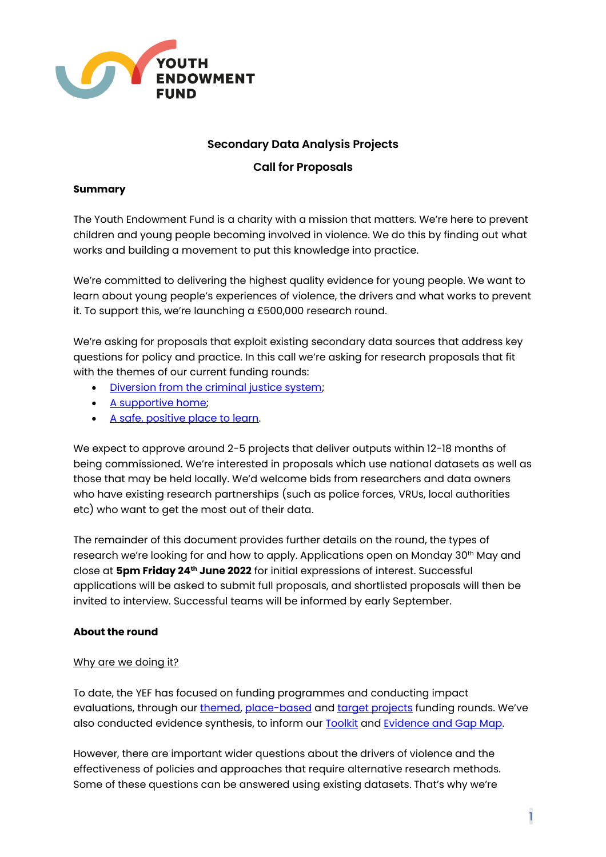

# **Secondary Data Analysis Projects**

# **Call for Proposals**

## **Summary**

The Youth Endowment Fund is a charity with a mission that matters. We're here to prevent children and young people becoming involved in violence. We do this by finding out what works and building a movement to put this knowledge into practice.

We're committed to delivering the highest quality evidence for young people. We want to learn about young people's experiences of violence, the drivers and what works to prevent it. To support this, we're launching a £500,000 research round.

We're asking for proposals that exploit existing secondary data sources that address key questions for policy and practice. In this call we're asking for research proposals that fit with the themes of our current funding rounds:

- [Diversion from the criminal justice system;](https://youthendowmentfund.org.uk/grants/another-chance-diversion-from-the-criminal-justice-system/)
- [A supportive home;](https://youthendowmentfund.org.uk/grants/a-supportive-home/)
- [A safe, positive place to learn.](https://youthendowmentfund.org.uk/grants/a-safe-positive-place-to-learn/)

We expect to approve around 2-5 projects that deliver outputs within 12-18 months of being commissioned. We're interested in proposals which use national datasets as well as those that may be held locally. We'd welcome bids from researchers and data owners who have existing research partnerships (such as police forces, VRUs, local authorities etc) who want to get the most out of their data.

The remainder of this document provides further details on the round, the types of research we're looking for and how to apply. Applications open on Monday 30th May and close at **5pm Friday 24th June 2022** for initial expressions of interest. Successful applications will be asked to submit full proposals, and shortlisted proposals will then be invited to interview. Successful teams will be informed by early September.

## **About the round**

## Why are we doing it?

To date, the YEF has focused on funding programmes and conducting impact evaluations, through our [themed,](https://youthendowmentfund.org.uk/funding/themes/) [place-based](https://youthendowmentfund.org.uk/funding/place-based/) and [target projects](https://youthendowmentfund.org.uk/grants/targeted-projects/) funding rounds. We've also conducted evidence synthesis, to inform ou[r Toolkit](https://youthendowmentfund.org.uk/toolkit/) and [Evidence and Gap Map.](https://youthendowmentfund.org.uk/evidence-and-gap-map/)

However, there are important wider questions about the drivers of violence and the effectiveness of policies and approaches that require alternative research methods. Some of these questions can be answered using existing datasets. That's why we're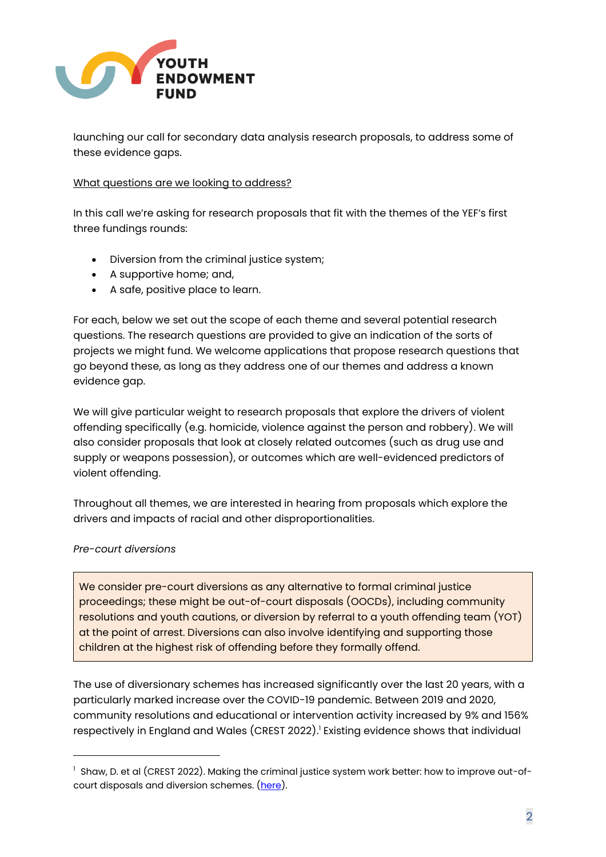

launching our call for secondary data analysis research proposals, to address some of these evidence gaps.

#### What questions are we looking to address?

In this call we're asking for research proposals that fit with the themes of the YEF's first three fundings rounds:

- Diversion from the criminal justice system;
- A supportive home; and,
- A safe, positive place to learn.

For each, below we set out the scope of each theme and several potential research questions. The research questions are provided to give an indication of the sorts of projects we might fund. We welcome applications that propose research questions that go beyond these, as long as they address one of our themes and address a known evidence gap.

We will give particular weight to research proposals that explore the drivers of violent offending specifically (e.g. homicide, violence against the person and robbery). We will also consider proposals that look at closely related outcomes (such as drug use and supply or weapons possession), or outcomes which are well-evidenced predictors of violent offending.

Throughout all themes, we are interested in hearing from proposals which explore the drivers and impacts of racial and other disproportionalities.

## *Pre-court diversions*

We consider pre-court diversions as any alternative to formal criminal justice proceedings; these might be out-of-court disposals (OOCDs), including community resolutions and youth cautions, or diversion by referral to a youth offending team (YOT) at the point of arrest. Diversions can also involve identifying and supporting those children at the highest risk of offending before they formally offend.

The use of diversionary schemes has increased significantly over the last 20 years, with a particularly marked increase over the COVID-19 pandemic. Between 2019 and 2020, community resolutions and educational or intervention activity increased by 9% and 156% respectively in England and Wales (CREST 2022). <sup>1</sup> Existing evidence shows that individual

 $1$  Shaw, D. et al (CREST 2022). Making the criminal justice system work better: how to improve out-ofcourt disposals and diversion schemes. [\(here\)](https://64e09bbc-abdd-42c6-90a8-58992ce46e59.usrfiles.com/ugd/64e09b_7df3289b60fe45aaa442e5320d67cd98.pdf).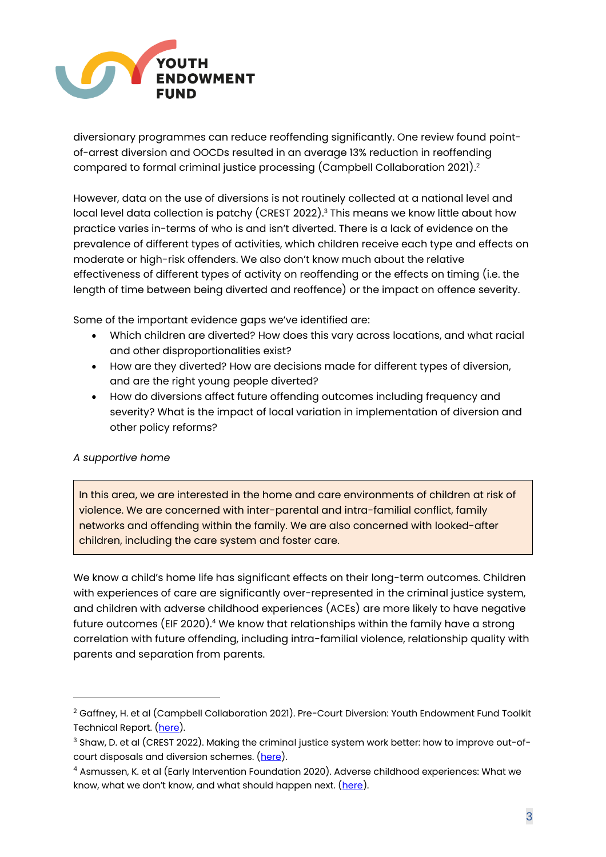

diversionary programmes can reduce reoffending significantly. One review found pointof-arrest diversion and OOCDs resulted in an average 13% reduction in reoffending compared to formal criminal justice processing (Campbell Collaboration 2021). 2

However, data on the use of diversions is not routinely collected at a national level and local level data collection is patchy (CREST 2022). <sup>3</sup> This means we know little about how practice varies in-terms of who is and isn't diverted. There is a lack of evidence on the prevalence of different types of activities, which children receive each type and effects on moderate or high-risk offenders. We also don't know much about the relative effectiveness of different types of activity on reoffending or the effects on timing (i.e. the length of time between being diverted and reoffence) or the impact on offence severity.

Some of the important evidence gaps we've identified are:

- Which children are diverted? How does this vary across locations, and what racial and other disproportionalities exist?
- How are they diverted? How are decisions made for different types of diversion, and are the right young people diverted?
- How do diversions affect future offending outcomes including frequency and severity? What is the impact of local variation in implementation of diversion and other policy reforms?

# *A supportive home*

In this area, we are interested in the home and care environments of children at risk of violence. We are concerned with inter-parental and intra-familial conflict, family networks and offending within the family. We are also concerned with looked-after children, including the care system and foster care.

We know a child's home life has significant effects on their long-term outcomes. Children with experiences of care are significantly over-represented in the criminal justice system, and children with adverse childhood experiences (ACEs) are more likely to have negative future outcomes (EIF 2020). <sup>4</sup> We know that relationships within the family have a strong correlation with future offending, including intra-familial violence, relationship quality with parents and separation from parents.

<sup>&</sup>lt;sup>2</sup> Gaffney, H. et al (Campbell Collaboration 2021). Pre-Court Diversion: Youth Endowment Fund Toolkit Technical Report. [\(here\)](https://youthendowmentfund.org.uk/wp-content/uploads/2021/06/Pre-Court-Diversion-technical-report-.pdf).

<sup>&</sup>lt;sup>3</sup> Shaw, D. et al (CREST 2022). Making the criminal justice system work better: how to improve out-of-court disposals and diversion schemes. [\(here\)](https://64e09bbc-abdd-42c6-90a8-58992ce46e59.usrfiles.com/ugd/64e09b_7df3289b60fe45aaa442e5320d67cd98.pdf).

<sup>4</sup> Asmussen, K. et al (Early Intervention Foundation 2020). Adverse childhood experiences: What we know, what we don't know, and what should happen next. ([here\)](https://www.eif.org.uk/report/adverse-childhood-experiences-what-we-know-what-we-dont-know-and-what-should-happen-next).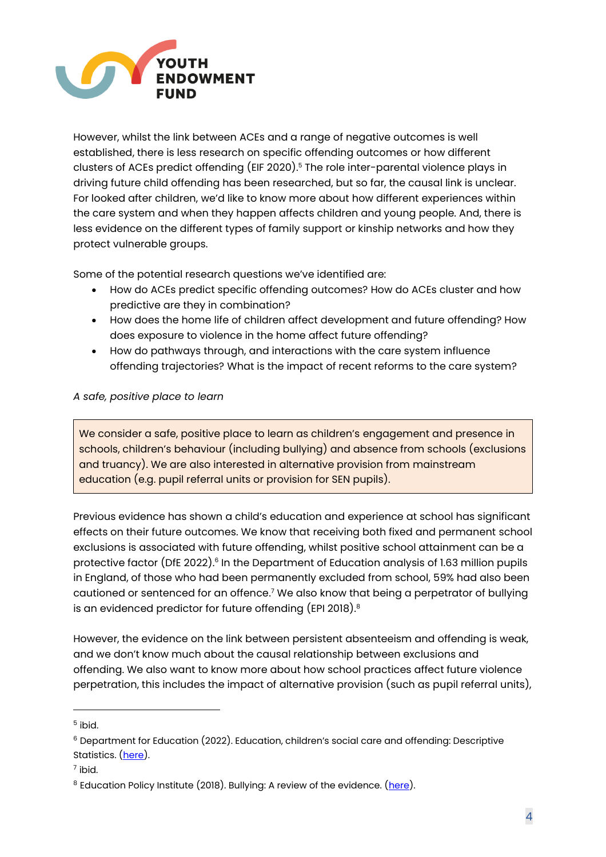

However, whilst the link between ACEs and a range of negative outcomes is well established, there is less research on specific offending outcomes or how different clusters of ACEs predict offending (EIF 2020). <sup>5</sup> The role inter-parental violence plays in driving future child offending has been researched, but so far, the causal link is unclear. For looked after children, we'd like to know more about how different experiences within the care system and when they happen affects children and young people. And, there is less evidence on the different types of family support or kinship networks and how they protect vulnerable groups.

Some of the potential research questions we've identified are:

- How do ACEs predict specific offending outcomes? How do ACEs cluster and how predictive are they in combination?
- How does the home life of children affect development and future offending? How does exposure to violence in the home affect future offending?
- How do pathways through, and interactions with the care system influence offending trajectories? What is the impact of recent reforms to the care system?

# *A safe, positive place to learn*

We consider a safe, positive place to learn as children's engagement and presence in schools, children's behaviour (including bullying) and absence from schools (exclusions and truancy). We are also interested in alternative provision from mainstream education (e.g. pupil referral units or provision for SEN pupils).

Previous evidence has shown a child's education and experience at school has significant effects on their future outcomes. We know that receiving both fixed and permanent school exclusions is associated with future offending, whilst positive school attainment can be a protective factor (DfE 2022).<sup>6</sup> In the Department of Education analysis of 1.63 million pupils in England, of those who had been permanently excluded from school, 59% had also been cautioned or sentenced for an offence. <sup>7</sup> We also know that being a perpetrator of bullying is an evidenced predictor for future offending (EPI 2018). $^{\rm 8}$ 

However, the evidence on the link between persistent absenteeism and offending is weak, and we don't know much about the causal relationship between exclusions and offending. We also want to know more about how school practices affect future violence perpetration, this includes the impact of alternative provision (such as pupil referral units),

 $^5$  ibid.

<sup>&</sup>lt;sup>6</sup> Department for Education (2022). Education, children's social care and offending: Descriptive Statistics. [\(here\)](https://assets.publishing.service.gov.uk/government/uploads/system/uploads/attachment_data/file/1059556/Education_children_s_social_care_and_offending_descriptive_stats_FINAL.pdf).

 $^7$  ibid.

<sup>&</sup>lt;sup>8</sup> Education Policy Institute (2018). Bullying: A review of the evidence. (<u>here</u>).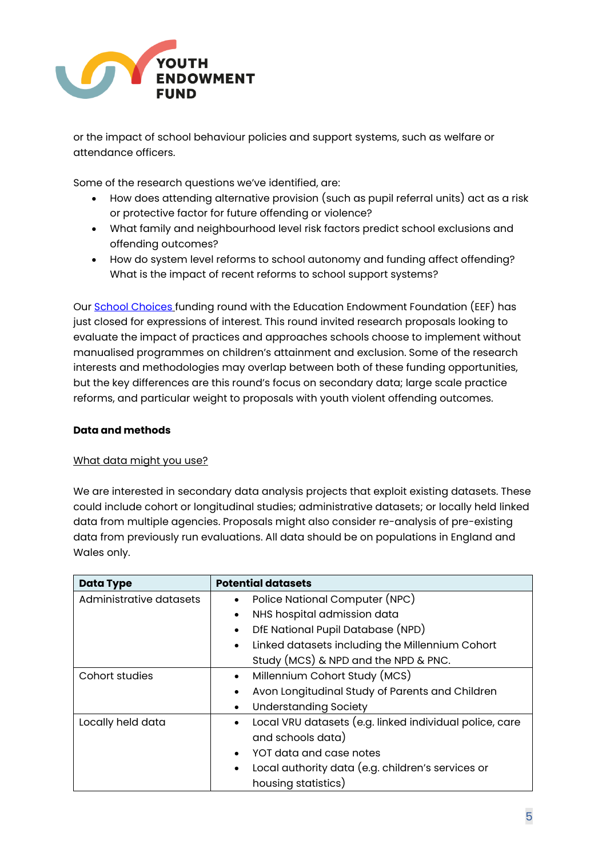

or the impact of school behaviour policies and support systems, such as welfare or attendance officers.

Some of the research questions we've identified, are:

- How does attending alternative provision (such as pupil referral units) act as a risk or protective factor for future offending or violence?
- What family and neighbourhood level risk factors predict school exclusions and offending outcomes?
- How do system level reforms to school autonomy and funding affect offending? What is the impact of recent reforms to school support systems?

Our [School Choices](https://educationendowmentfoundation.org.uk/projects-and-evaluation/apply-for-funding/eef-and-yef-school-choices-round) funding round with the Education Endowment Foundation (EEF) has just closed for expressions of interest. This round invited research proposals looking to evaluate the impact of practices and approaches schools choose to implement without manualised programmes on children's attainment and exclusion. Some of the research interests and methodologies may overlap between both of these funding opportunities, but the key differences are this round's focus on secondary data; large scale practice reforms, and particular weight to proposals with youth violent offending outcomes.

## **Data and methods**

## What data might you use?

We are interested in secondary data analysis projects that exploit existing datasets. These could include cohort or longitudinal studies; administrative datasets; or locally held linked data from multiple agencies. Proposals might also consider re-analysis of pre-existing data from previously run evaluations. All data should be on populations in England and Wales only.

| <b>Data Type</b>        | <b>Potential datasets</b>                                            |
|-------------------------|----------------------------------------------------------------------|
| Administrative datasets | Police National Computer (NPC)<br>$\bullet$                          |
|                         | NHS hospital admission data<br>$\bullet$                             |
|                         | DfE National Pupil Database (NPD)<br>$\bullet$                       |
|                         | Linked datasets including the Millennium Cohort<br>$\bullet$         |
|                         | Study (MCS) & NPD and the NPD & PNC.                                 |
| Cohort studies          | Millennium Cohort Study (MCS)<br>$\bullet$                           |
|                         | Avon Longitudinal Study of Parents and Children<br>$\bullet$         |
|                         | <b>Understanding Society</b><br>$\bullet$                            |
| Locally held data       | Local VRU datasets (e.g. linked individual police, care<br>$\bullet$ |
|                         | and schools data)                                                    |
|                         | YOT data and case notes<br>$\bullet$                                 |
|                         | Local authority data (e.g. children's services or<br>$\bullet$       |
|                         | housing statistics)                                                  |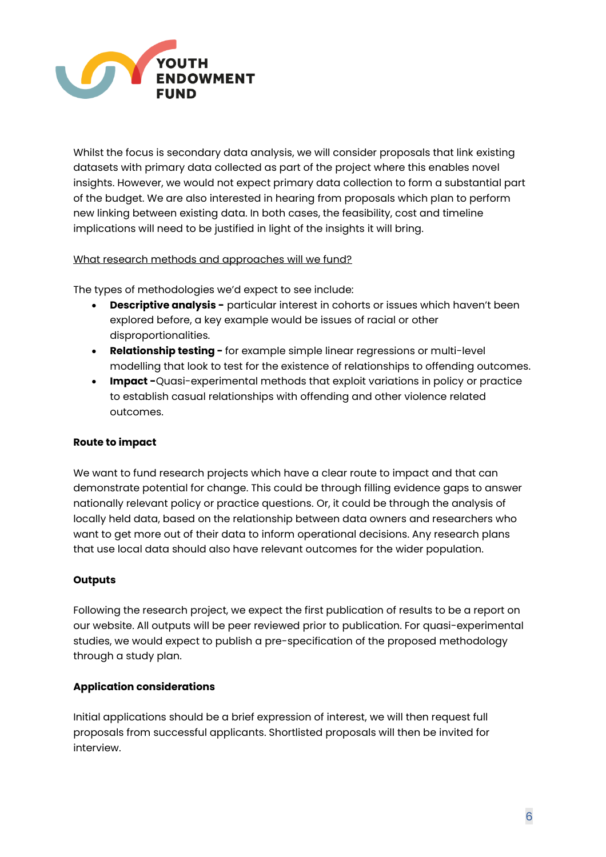

Whilst the focus is secondary data analysis, we will consider proposals that link existing datasets with primary data collected as part of the project where this enables novel insights. However, we would not expect primary data collection to form a substantial part of the budget. We are also interested in hearing from proposals which plan to perform new linking between existing data. In both cases, the feasibility, cost and timeline implications will need to be justified in light of the insights it will bring.

What research methods and approaches will we fund?

The types of methodologies we'd expect to see include:

- **Descriptive analysis -** particular interest in cohorts or issues which haven't been explored before, a key example would be issues of racial or other disproportionalities.
- **Relationship testing -** for example simple linear regressions or multi-level modelling that look to test for the existence of relationships to offending outcomes.
- **Impact -**Quasi-experimental methods that exploit variations in policy or practice to establish casual relationships with offending and other violence related outcomes.

## **Route to impact**

We want to fund research projects which have a clear route to impact and that can demonstrate potential for change. This could be through filling evidence gaps to answer nationally relevant policy or practice questions. Or, it could be through the analysis of locally held data, based on the relationship between data owners and researchers who want to get more out of their data to inform operational decisions. Any research plans that use local data should also have relevant outcomes for the wider population.

## **Outputs**

Following the research project, we expect the first publication of results to be a report on our website. All outputs will be peer reviewed prior to publication. For quasi-experimental studies, we would expect to publish a pre-specification of the proposed methodology through a study plan.

## **Application considerations**

Initial applications should be a brief expression of interest, we will then request full proposals from successful applicants. Shortlisted proposals will then be invited for interview.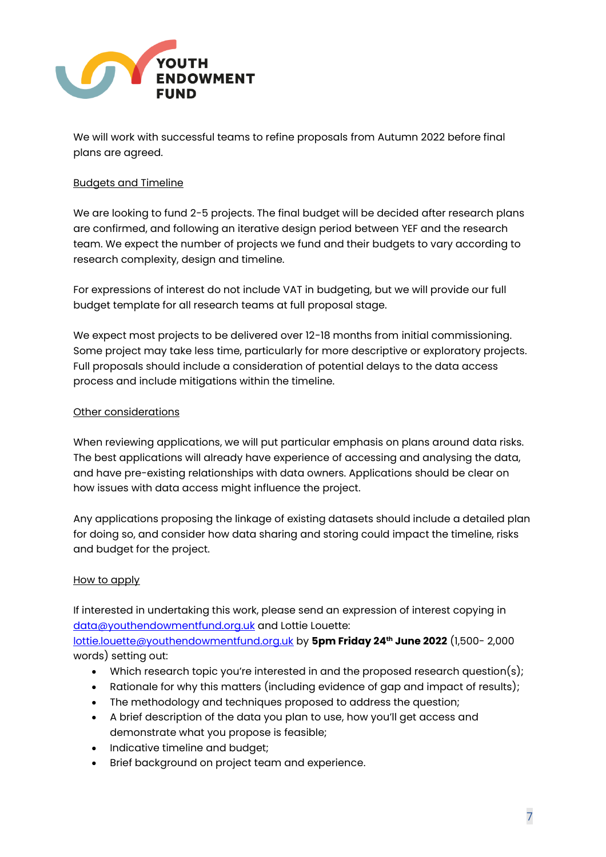

We will work with successful teams to refine proposals from Autumn 2022 before final plans are agreed.

## Budgets and Timeline

We are looking to fund 2-5 projects. The final budget will be decided after research plans are confirmed, and following an iterative design period between YEF and the research team. We expect the number of projects we fund and their budgets to vary according to research complexity, design and timeline.

For expressions of interest do not include VAT in budgeting, but we will provide our full budget template for all research teams at full proposal stage.

We expect most projects to be delivered over 12-18 months from initial commissioning. Some project may take less time, particularly for more descriptive or exploratory projects. Full proposals should include a consideration of potential delays to the data access process and include mitigations within the timeline.

## Other considerations

When reviewing applications, we will put particular emphasis on plans around data risks. The best applications will already have experience of accessing and analysing the data, and have pre-existing relationships with data owners. Applications should be clear on how issues with data access might influence the project.

Any applications proposing the linkage of existing datasets should include a detailed plan for doing so, and consider how data sharing and storing could impact the timeline, risks and budget for the project.

## How to apply

If interested in undertaking this work, please send an expression of interest copying in [data@youthendowmentfund.org.uk](mailto:data@youthendowmentfund.org.uk) and Lottie Louette:

[lottie.louette@youthendowmentfund.org.uk](mailto:lottie.louette@youthendowmentfund.org.uk) by **5pm Friday 24th June 2022** (1,500- 2,000 words) setting out:

- Which research topic you're interested in and the proposed research question(s);
- Rationale for why this matters (including evidence of gap and impact of results);
- The methodology and techniques proposed to address the question;
- A brief description of the data you plan to use, how you'll get access and demonstrate what you propose is feasible;
- Indicative timeline and budget;
- Brief background on project team and experience.